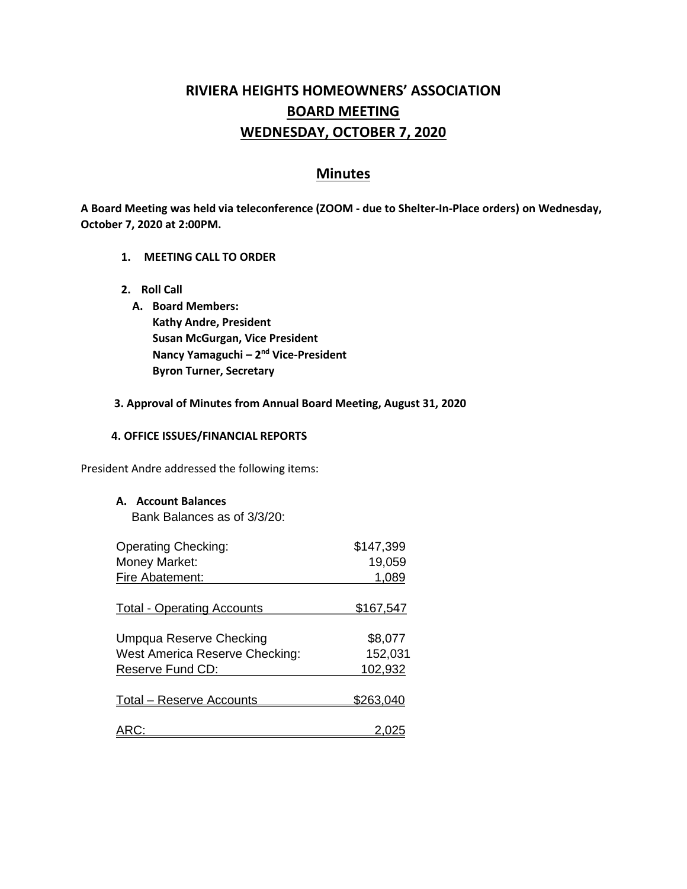# **RIVIERA HEIGHTS HOMEOWNERS' ASSOCIATION BOARD MEETING WEDNESDAY, OCTOBER 7, 2020**

## **Minutes**

**A Board Meeting was held via teleconference (ZOOM - due to Shelter-In-Place orders) on Wednesday, October 7, 2020 at 2:00PM.** 

- **1. MEETING CALL TO ORDER**
- **2. Roll Call**
	- **A. Board Members: Kathy Andre, President Susan McGurgan, Vice President Nancy Yamaguchi – 2<sup>nd</sup> Vice-President Byron Turner, Secretary**

#### **3. Approval of Minutes from Annual Board Meeting, August 31, 2020**

#### **4. OFFICE ISSUES/FINANCIAL REPORTS**

President Andre addressed the following items:

**A. Account Balances**

Bank Balances as of 3/3/20:

| <b>Operating Checking:</b>        | \$147,399        |
|-----------------------------------|------------------|
| Money Market:                     | 19,059           |
| Fire Abatement:                   | 1,089            |
|                                   |                  |
| <b>Total - Operating Accounts</b> | <u>\$167,547</u> |
|                                   |                  |
| Umpqua Reserve Checking           | \$8,077          |
| West America Reserve Checking:    | 152,031          |
| Reserve Fund CD:                  | 102,932          |
|                                   |                  |
| <b>Total – Reserve Accounts</b>   | \$263.04         |
|                                   |                  |
|                                   |                  |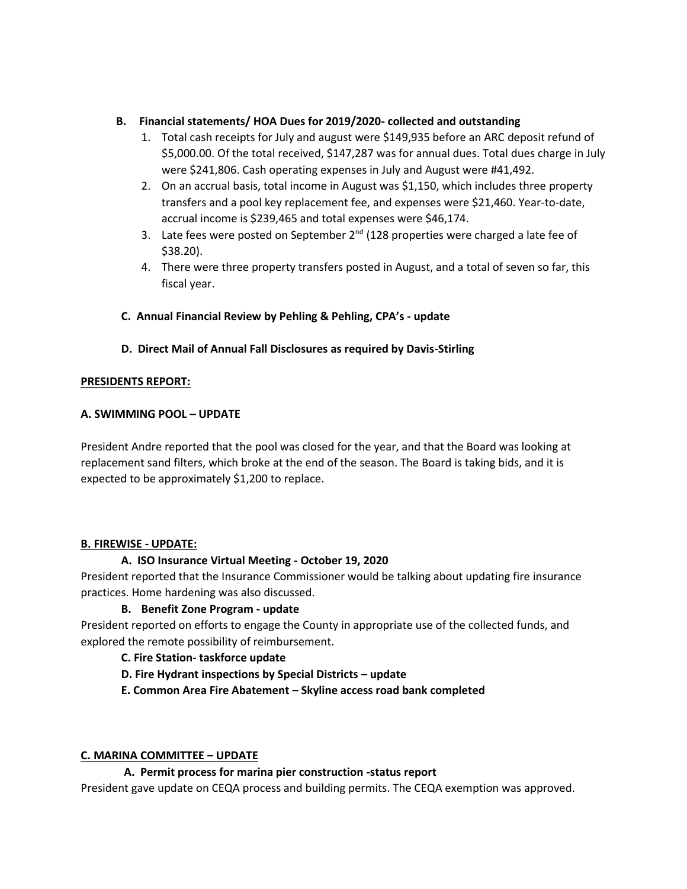## **B. Financial statements/ HOA Dues for 2019/2020- collected and outstanding**

- 1. Total cash receipts for July and august were \$149,935 before an ARC deposit refund of \$5,000.00. Of the total received, \$147,287 was for annual dues. Total dues charge in July were \$241,806. Cash operating expenses in July and August were #41,492.
- 2. On an accrual basis, total income in August was \$1,150, which includes three property transfers and a pool key replacement fee, and expenses were \$21,460. Year-to-date, accrual income is \$239,465 and total expenses were \$46,174.
- 3. Late fees were posted on September  $2^{nd}$  (128 properties were charged a late fee of \$38.20).
- 4. There were three property transfers posted in August, and a total of seven so far, this fiscal year.

## **C. Annual Financial Review by Pehling & Pehling, CPA's - update**

**D. Direct Mail of Annual Fall Disclosures as required by Davis-Stirling**

## **PRESIDENTS REPORT:**

## **A. SWIMMING POOL – UPDATE**

President Andre reported that the pool was closed for the year, and that the Board was looking at replacement sand filters, which broke at the end of the season. The Board is taking bids, and it is expected to be approximately \$1,200 to replace.

## **B. FIREWISE - UPDATE:**

## **A. ISO Insurance Virtual Meeting - October 19, 2020**

President reported that the Insurance Commissioner would be talking about updating fire insurance practices. Home hardening was also discussed.

## **B. Benefit Zone Program - update**

President reported on efforts to engage the County in appropriate use of the collected funds, and explored the remote possibility of reimbursement.

## **C. Fire Station- taskforce update**

- **D. Fire Hydrant inspections by Special Districts – update**
- **E. Common Area Fire Abatement – Skyline access road bank completed**

## **C. MARINA COMMITTEE – UPDATE**

## **A. Permit process for marina pier construction -status report**

President gave update on CEQA process and building permits. The CEQA exemption was approved.